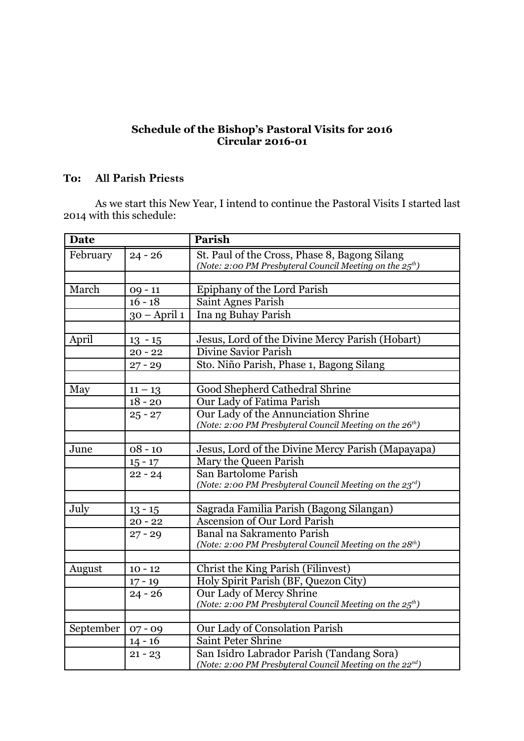## **Schedule of the Bishop's Pastoral Visits for 2016 Circular 2016-01**

## **To: All Parish Priests**

As we start this New Year, I intend to continue the Pastoral Visits I started last 2014 with this schedule:

| <b>Date</b> |                        | Parish                                                               |
|-------------|------------------------|----------------------------------------------------------------------|
| February    | $24 - 26$              | St. Paul of the Cross, Phase 8, Bagong Silang                        |
|             |                        | (Note: 2:00 PM Presbyteral Council Meeting on the $25^{th}$ )        |
|             |                        |                                                                      |
| March       | $09 - 11$              | Epiphany of the Lord Parish                                          |
|             | $16 - 18$              | Saint Agnes Parish                                                   |
|             | $30 - April 1$         | Ina ng Buhay Parish                                                  |
|             |                        |                                                                      |
| April       | $13 - 15$              | Jesus, Lord of the Divine Mercy Parish (Hobart)                      |
|             | $20 - 22$              | <b>Divine Savior Parish</b>                                          |
|             | $27 - 29$              | Sto. Niño Parish, Phase 1, Bagong Silang                             |
|             |                        |                                                                      |
| May         | $11 - 13$              | Good Shepherd Cathedral Shrine                                       |
|             | $18 - 20$              | Our Lady of Fatima Parish                                            |
|             | $25 - 27$              | Our Lady of the Annunciation Shrine                                  |
|             |                        | (Note: 2:00 PM Presbyteral Council Meeting on the 26th)              |
|             |                        |                                                                      |
| June        | $08 - 10$              | Jesus, Lord of the Divine Mercy Parish (Mapayapa)                    |
|             | $15 - 17$              | Mary the Queen Parish                                                |
|             | $22 - 24$              | San Bartolome Parish                                                 |
|             |                        | (Note: 2:00 PM Presbyteral Council Meeting on the 23rd)              |
|             |                        |                                                                      |
| July        | $13 - 15$              | Sagrada Familia Parish (Bagong Silangan)                             |
|             | $20 - 22$              | <b>Ascension of Our Lord Parish</b>                                  |
|             | $27 - 29$              | Banal na Sakramento Parish                                           |
|             |                        | (Note: 2:00 PM Presbyteral Council Meeting on the 28 <sup>th</sup> ) |
| August      | $10 - 12$              | Christ the King Parish (Filinvest)                                   |
|             |                        | Holy Spirit Parish (BF, Quezon City)                                 |
|             | $17 - 19$<br>$24 - 26$ | Our Lady of Mercy Shrine                                             |
|             |                        | (Note: 2:00 PM Presbyteral Council Meeting on the 25 <sup>th</sup> ) |
|             |                        |                                                                      |
| September   | $07 - 09$              | Our Lady of Consolation Parish                                       |
|             | $14 - 16$              | Saint Peter Shrine                                                   |
|             | $21 - 23$              | San Isidro Labrador Parish (Tandang Sora)                            |
|             |                        | (Note: 2:00 PM Presbyteral Council Meeting on the 22 <sup>nd</sup> ) |